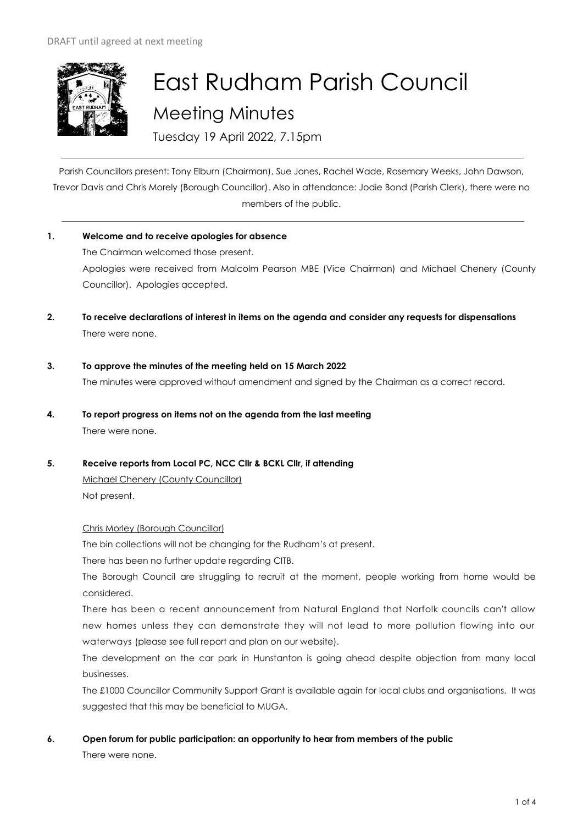

# East Rudham Parish Council Meeting Minutes

Tuesday 19 April 2022, 7.15pm

Parish Councillors present: Tony Elburn (Chairman), Sue Jones, Rachel Wade, Rosemary Weeks, John Dawson, Trevor Davis and Chris Morely (Borough Councillor). Also in attendance: Jodie Bond (Parish Clerk), there were no members of the public.

## **1. Welcome and to receive apologies for absence**

The Chairman welcomed those present. Apologies were received from Malcolm Pearson MBE (Vice Chairman) and Michael Chenery (County Councillor). Apologies accepted.

- **2. To receive declarations of interest in items on the agenda and consider any requests for dispensations**  There were none.
- **3. To approve the minutes of the meeting held on 15 March 2022** The minutes were approved without amendment and signed by the Chairman as a correct record.
- **4. To report progress on items not on the agenda from the last meeting**  There were none.

## **5. Receive reports from Local PC, NCC Cllr & BCKL Cllr, if attending**

Michael Chenery (County Councillor) Not present.

Chris Morley (Borough Councillor)

The bin collections will not be changing for the Rudham's at present.

There has been no further update regarding CITB.

The Borough Council are struggling to recruit at the moment, people working from home would be considered.

There has been a recent announcement from Natural England that Norfolk councils can't allow new homes unless they can demonstrate they will not lead to more pollution flowing into our waterways (please see full report and plan on our website).

The development on the car park in Hunstanton is going ahead despite objection from many local businesses.

The £1000 Councillor Community Support Grant is available again for local clubs and organisations. It was suggested that this may be beneficial to MUGA.

**6. Open forum for public participation: an opportunity to hear from members of the public**

There were none.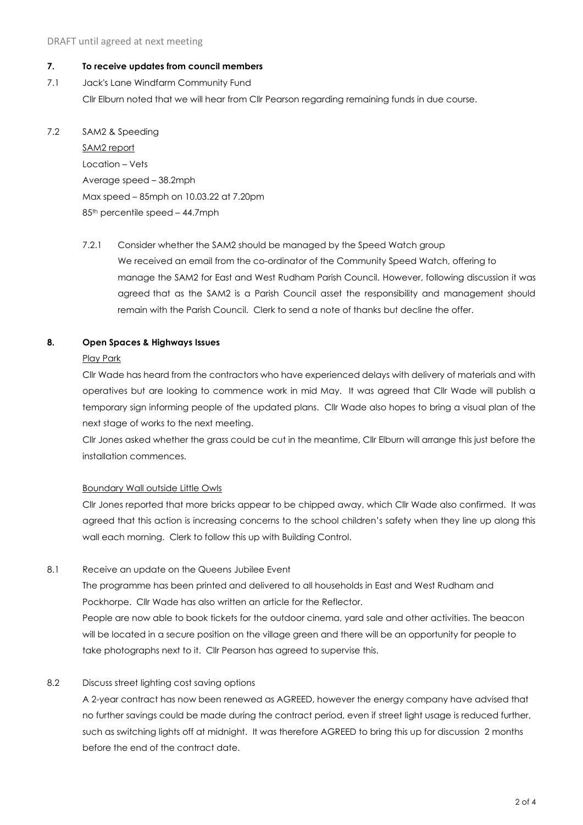## **7. To receive updates from council members**

7.1 Jack's Lane Windfarm Community Fund Cllr Elburn noted that we will hear from Cllr Pearson regarding remaining funds in due course.

7.2 SAM2 & Speeding SAM2 report Location – Vets Average speed – 38.2mph Max speed – 85mph on 10.03.22 at 7.20pm 85th percentile speed – 44.7mph

> 7.2.1 Consider whether the SAM2 should be managed by the Speed Watch group We received an email from the co-ordinator of the Community Speed Watch, offering to manage the SAM2 for East and West Rudham Parish Council. However, following discussion it was agreed that as the SAM2 is a Parish Council asset the responsibility and management should remain with the Parish Council. Clerk to send a note of thanks but decline the offer.

# **8. Open Spaces & Highways Issues**

## Play Park

Cllr Wade has heard from the contractors who have experienced delays with delivery of materials and with operatives but are looking to commence work in mid May. It was agreed that Cllr Wade will publish a temporary sign informing people of the updated plans. Cllr Wade also hopes to bring a visual plan of the next stage of works to the next meeting.

Cllr Jones asked whether the grass could be cut in the meantime, Cllr Elburn will arrange this just before the installation commences.

## Boundary Wall outside Little Owls

Cllr Jones reported that more bricks appear to be chipped away, which Cllr Wade also confirmed. It was agreed that this action is increasing concerns to the school children's safety when they line up along this wall each morning. Clerk to follow this up with Building Control.

8.1 Receive an update on the Queens Jubilee Event

The programme has been printed and delivered to all households in East and West Rudham and Pockhorpe. Cllr Wade has also written an article for the Reflector. People are now able to book tickets for the outdoor cinema, yard sale and other activities. The beacon will be located in a secure position on the village green and there will be an opportunity for people to take photographs next to it. Cllr Pearson has agreed to supervise this.

## 8.2 Discuss street lighting cost saving options

A 2-year contract has now been renewed as AGREED, however the energy company have advised that no further savings could be made during the contract period, even if street light usage is reduced further, such as switching lights off at midnight. It was therefore AGREED to bring this up for discussion 2 months before the end of the contract date.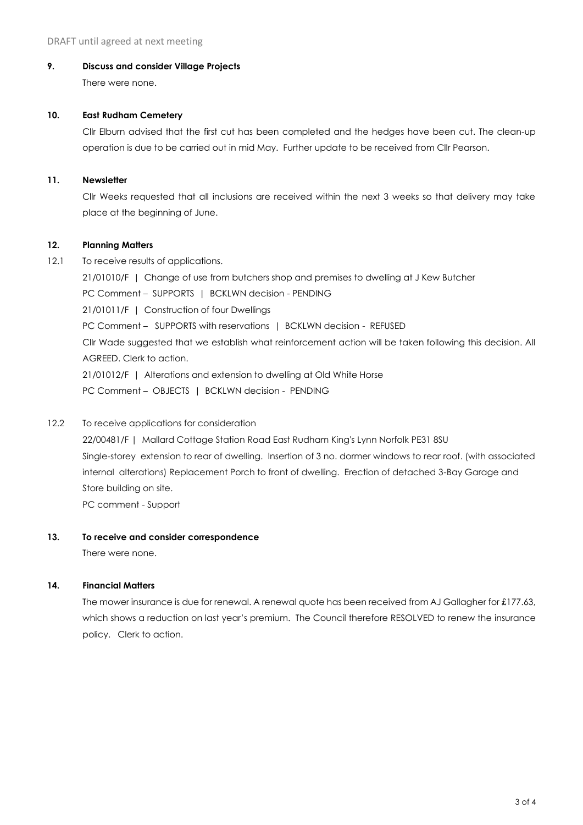## **9. Discuss and consider Village Projects**

There were none.

#### **10. East Rudham Cemetery**

Cllr Elburn advised that the first cut has been completed and the hedges have been cut. The clean-up operation is due to be carried out in mid May. Further update to be received from Cllr Pearson.

## **11. Newsletter**

Cllr Weeks requested that all inclusions are received within the next 3 weeks so that delivery may take place at the beginning of June.

## **12. Planning Matters**

12.1 To receive results of applications.

21/01010/F | Change of use from butchers shop and premises to dwelling at J Kew Butcher PC Comment – SUPPORTS | BCKLWN decision - PENDING 21/01011/F | Construction of four Dwellings PC Comment - SUPPORTS with reservations | BCKLWN decision - REFUSED Cllr Wade suggested that we establish what reinforcement action will be taken following this decision. All AGREED. Clerk to action. 21/01012/F | Alterations and extension to dwelling at Old White Horse PC Comment – OBJECTS | BCKLWN decision - PENDING

12.2 To receive applications for consideration

22/00481/F | Mallard Cottage Station Road East Rudham King's Lynn Norfolk PE31 8SU Single-storey extension to rear of dwelling. Insertion of 3 no. dormer windows to rear roof. (with associated internal alterations) Replacement Porch to front of dwelling. Erection of detached 3-Bay Garage and Store building on site.

PC comment - Support

#### **13. To receive and consider correspondence**

There were none.

## **14. Financial Matters**

The mower insurance is due for renewal. A renewal quote has been received from AJ Gallagher for £177.63, which shows a reduction on last year's premium. The Council therefore RESOLVED to renew the insurance policy. Clerk to action.